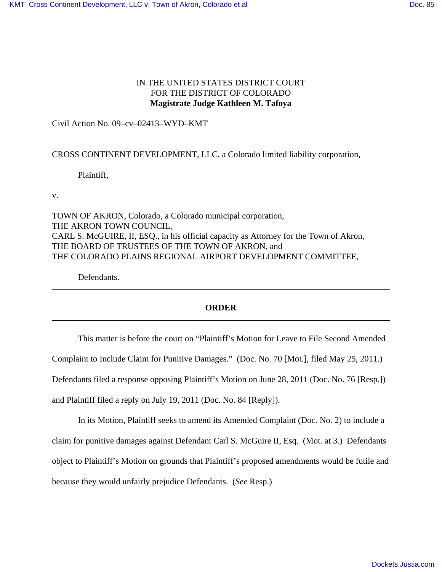# IN THE UNITED STATES DISTRICT COURT FOR THE DISTRICT OF COLORADO **Magistrate Judge Kathleen M. Tafoya**

Civil Action No. 09–cv–02413–WYD–KMT

## CROSS CONTINENT DEVELOPMENT, LLC, a Colorado limited liability corporation,

Plaintiff,

v.

TOWN OF AKRON, Colorado, a Colorado municipal corporation, THE AKRON TOWN COUNCIL, CARL S. McGUIRE, II, ESQ., in his official capacity as Attorney for the Town of Akron, THE BOARD OF TRUSTEES OF THE TOWN OF AKRON, and THE COLORADO PLAINS REGIONAL AIRPORT DEVELOPMENT COMMITTEE,

Defendants.

# **ORDER**

This matter is before the court on "Plaintiff's Motion for Leave to File Second Amended Complaint to Include Claim for Punitive Damages." (Doc. No. 70 [Mot.], filed May 25, 2011.) Defendants filed a response opposing Plaintiff's Motion on June 28, 2011 (Doc. No. 76 [Resp.]) and Plaintiff filed a reply on July 19, 2011 (Doc. No. 84 [Reply]).

In its Motion, Plaintiff seeks to amend its Amended Complaint (Doc. No. 2) to include a claim for punitive damages against Defendant Carl S. McGuire II, Esq. (Mot. at 3.) Defendants object to Plaintiff's Motion on grounds that Plaintiff's proposed amendments would be futile and because they would unfairly prejudice Defendants. (*See* Resp.)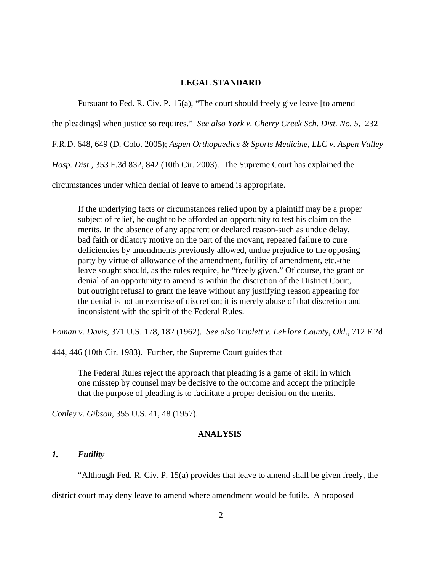#### **LEGAL STANDARD**

Pursuant to Fed. R. Civ. P. 15(a), "The court should freely give leave [to amend

the pleadings] when justice so requires." *See also York v. Cherry Creek Sch. Dist. No. 5,* 232

F.R.D. 648, 649 (D. Colo. 2005); *Aspen Orthopaedics & Sports Medicine, LLC v. Aspen Valley*

*Hosp. Dist.,* 353 F.3d 832, 842 (10th Cir. 2003). The Supreme Court has explained the

circumstances under which denial of leave to amend is appropriate.

If the underlying facts or circumstances relied upon by a plaintiff may be a proper subject of relief, he ought to be afforded an opportunity to test his claim on the merits. In the absence of any apparent or declared reason-such as undue delay, bad faith or dilatory motive on the part of the movant, repeated failure to cure deficiencies by amendments previously allowed, undue prejudice to the opposing party by virtue of allowance of the amendment, futility of amendment, etc.-the leave sought should, as the rules require, be "freely given." Of course, the grant or denial of an opportunity to amend is within the discretion of the District Court, but outright refusal to grant the leave without any justifying reason appearing for the denial is not an exercise of discretion; it is merely abuse of that discretion and inconsistent with the spirit of the Federal Rules.

*Foman v. Davis*, 371 U.S. 178, 182 (1962). *See also Triplett v. LeFlore County, Okl*., 712 F.2d

444, 446 (10th Cir. 1983). Further, the Supreme Court guides that

The Federal Rules reject the approach that pleading is a game of skill in which one misstep by counsel may be decisive to the outcome and accept the principle that the purpose of pleading is to facilitate a proper decision on the merits.

*Conley v. Gibson,* 355 U.S. 41, 48 (1957).

## **ANALYSIS**

### *1. Futility*

"Although Fed. R. Civ. P. 15(a) provides that leave to amend shall be given freely, the

district court may deny leave to amend where amendment would be futile. A proposed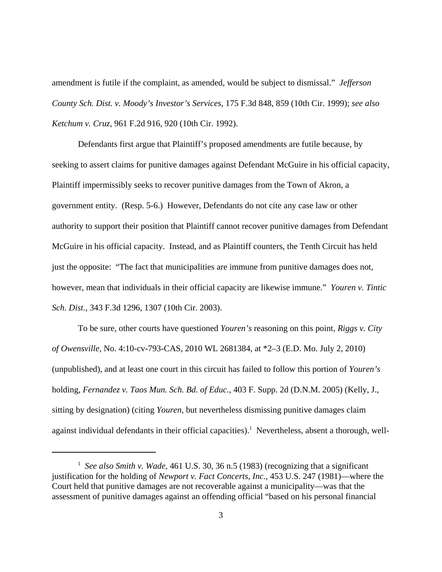amendment is futile if the complaint, as amended, would be subject to dismissal." *Jefferson County Sch. Dist. v. Moody's Investor's Services*, 175 F.3d 848, 859 (10th Cir. 1999); *see also Ketchum v. Cruz*, 961 F.2d 916, 920 (10th Cir. 1992).

Defendants first argue that Plaintiff's proposed amendments are futile because, by seeking to assert claims for punitive damages against Defendant McGuire in his official capacity, Plaintiff impermissibly seeks to recover punitive damages from the Town of Akron, a government entity. (Resp. 5-6.) However, Defendants do not cite any case law or other authority to support their position that Plaintiff cannot recover punitive damages from Defendant McGuire in his official capacity. Instead, and as Plaintiff counters, the Tenth Circuit has held just the opposite: "The fact that municipalities are immune from punitive damages does not, however, mean that individuals in their official capacity are likewise immune." *Youren v. Tintic Sch. Dist.,* 343 F.3d 1296, 1307 (10th Cir. 2003).

To be sure, other courts have questioned *Youren's* reasoning on this point*, Riggs v. City of Owensville,* No. 4:10-cv-793-CAS, 2010 WL 2681384, at \*2–3 (E.D. Mo. July 2, 2010) (unpublished), and at least one court in this circuit has failed to follow this portion of *Youren's* holding, *Fernandez v. Taos Mun. Sch. Bd. of Educ.,* 403 F. Supp. 2d (D.N.M. 2005) (Kelly, J., sitting by designation) (citing *Youren,* but nevertheless dismissing punitive damages claim against individual defendants in their official capacities).<sup>1</sup> Nevertheless, absent a thorough, well-

<sup>&</sup>lt;sup>1</sup> See also Smith v. Wade, 461 U.S. 30, 36 n.5 (1983) (recognizing that a significant justification for the holding of *Newport v. Fact Concerts, Inc.,* 453 U.S. 247 (1981)—where the Court held that punitive damages are not recoverable against a municipality—was that the assessment of punitive damages against an offending official "based on his personal financial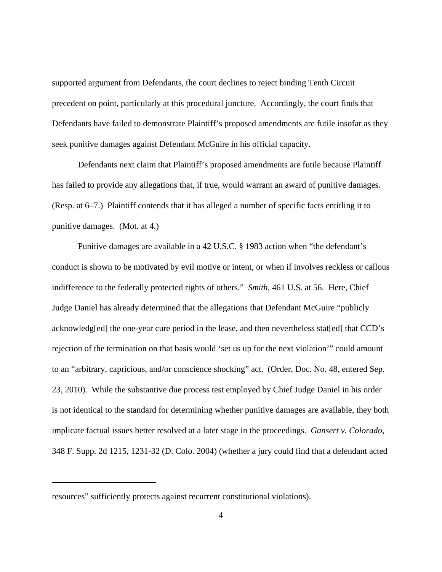supported argument from Defendants, the court declines to reject binding Tenth Circuit precedent on point, particularly at this procedural juncture. Accordingly, the court finds that Defendants have failed to demonstrate Plaintiff's proposed amendments are futile insofar as they seek punitive damages against Defendant McGuire in his official capacity.

Defendants next claim that Plaintiff's proposed amendments are futile because Plaintiff has failed to provide any allegations that, if true, would warrant an award of punitive damages. (Resp. at 6–7.) Plaintiff contends that it has alleged a number of specific facts entitling it to punitive damages. (Mot. at 4.)

Punitive damages are available in a 42 U.S.C. § 1983 action when "the defendant's conduct is shown to be motivated by evil motive or intent, or when if involves reckless or callous indifference to the federally protected rights of others." *Smith*, 461 U.S. at 56. Here, Chief Judge Daniel has already determined that the allegations that Defendant McGuire "publicly acknowledg[ed] the one-year cure period in the lease, and then nevertheless stat[ed] that CCD's rejection of the termination on that basis would 'set us up for the next violation'" could amount to an "arbitrary, capricious, and/or conscience shocking" act. (Order, Doc. No. 48, entered Sep. 23, 2010). While the substantive due process test employed by Chief Judge Daniel in his order is not identical to the standard for determining whether punitive damages are available, they both implicate factual issues better resolved at a later stage in the proceedings. *Gansert v. Colorado,* 348 F. Supp. 2d 1215, 1231-32 (D. Colo. 2004) (whether a jury could find that a defendant acted

resources" sufficiently protects against recurrent constitutional violations).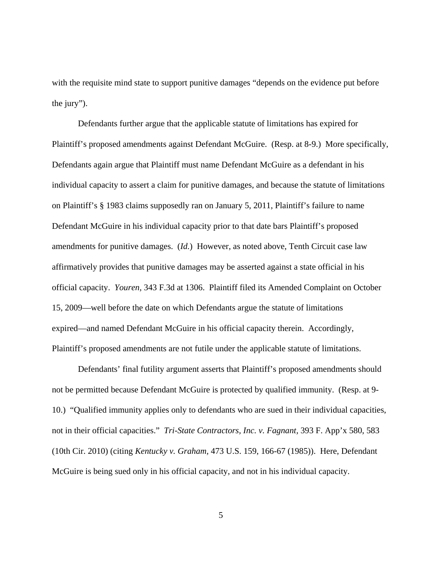with the requisite mind state to support punitive damages "depends on the evidence put before the jury").

Defendants further argue that the applicable statute of limitations has expired for Plaintiff's proposed amendments against Defendant McGuire. (Resp. at 8-9.) More specifically, Defendants again argue that Plaintiff must name Defendant McGuire as a defendant in his individual capacity to assert a claim for punitive damages, and because the statute of limitations on Plaintiff's § 1983 claims supposedly ran on January 5, 2011, Plaintiff's failure to name Defendant McGuire in his individual capacity prior to that date bars Plaintiff's proposed amendments for punitive damages. (*Id.*) However, as noted above, Tenth Circuit case law affirmatively provides that punitive damages may be asserted against a state official in his official capacity. *Youren,* 343 F.3d at 1306. Plaintiff filed its Amended Complaint on October 15, 2009—well before the date on which Defendants argue the statute of limitations expired—and named Defendant McGuire in his official capacity therein. Accordingly, Plaintiff's proposed amendments are not futile under the applicable statute of limitations.

Defendants' final futility argument asserts that Plaintiff's proposed amendments should not be permitted because Defendant McGuire is protected by qualified immunity. (Resp. at 9- 10.) "Qualified immunity applies only to defendants who are sued in their individual capacities, not in their official capacities." *Tri-State Contractors, Inc. v. Fagnant,* 393 F. App'x 580, 583 (10th Cir. 2010) (citing *Kentucky v. Graham,* 473 U.S. 159, 166-67 (1985)). Here, Defendant McGuire is being sued only in his official capacity, and not in his individual capacity.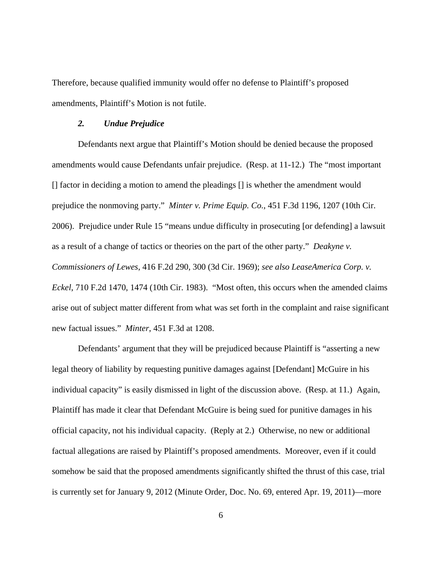Therefore, because qualified immunity would offer no defense to Plaintiff's proposed amendments, Plaintiff's Motion is not futile.

## *2. Undue Prejudice*

Defendants next argue that Plaintiff's Motion should be denied because the proposed amendments would cause Defendants unfair prejudice. (Resp. at 11-12.) The "most important [] factor in deciding a motion to amend the pleadings [] is whether the amendment would prejudice the nonmoving party." *Minter v. Prime Equip. Co.*, 451 F.3d 1196, 1207 (10th Cir. 2006). Prejudice under Rule 15 "means undue difficulty in prosecuting [or defending] a lawsuit as a result of a change of tactics or theories on the part of the other party." *Deakyne v. Commissioners of Lewes*, 416 F.2d 290, 300 (3d Cir. 1969); *see also LeaseAmerica Corp. v. Eckel*, 710 F.2d 1470, 1474 (10th Cir. 1983). "Most often, this occurs when the amended claims arise out of subject matter different from what was set forth in the complaint and raise significant new factual issues." *Minter*, 451 F.3d at 1208.

Defendants' argument that they will be prejudiced because Plaintiff is "asserting a new legal theory of liability by requesting punitive damages against [Defendant] McGuire in his individual capacity" is easily dismissed in light of the discussion above. (Resp. at 11.) Again, Plaintiff has made it clear that Defendant McGuire is being sued for punitive damages in his official capacity, not his individual capacity. (Reply at 2.) Otherwise, no new or additional factual allegations are raised by Plaintiff's proposed amendments. Moreover, even if it could somehow be said that the proposed amendments significantly shifted the thrust of this case, trial is currently set for January 9, 2012 (Minute Order, Doc. No. 69, entered Apr. 19, 2011)—more